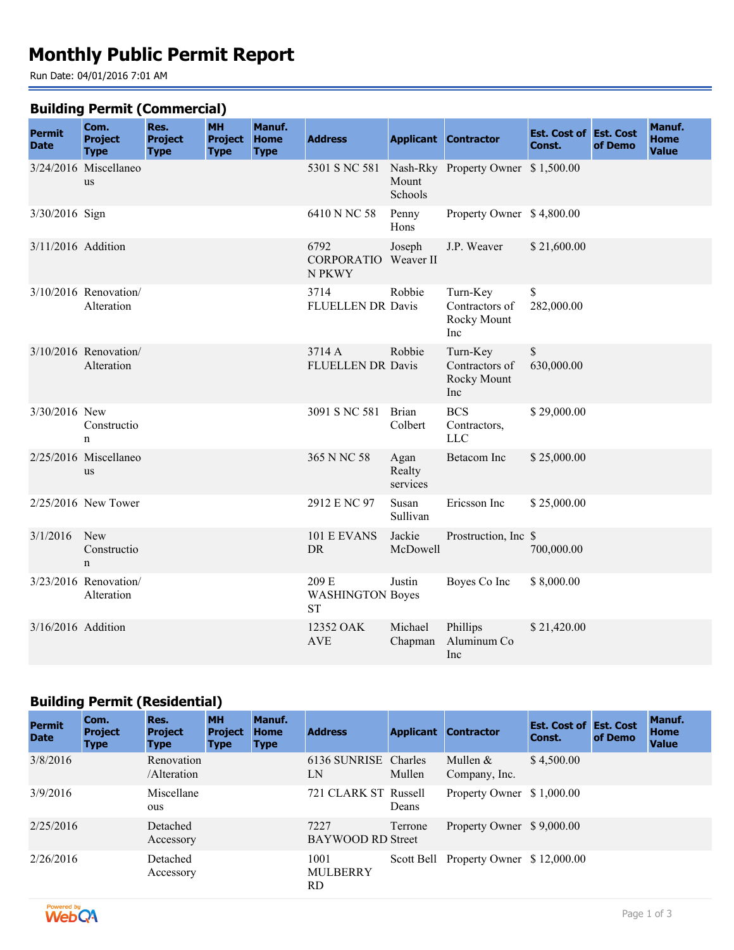# **Monthly Public Permit Report**

Run Date: 04/01/2016 7:01 AM

#### **Building Permit (Commercial)**

| <b>Permit</b><br><b>Date</b> | Com.<br><b>Project</b><br><b>Type</b> | Res.<br><b>Project</b><br><b>Type</b> | -- 1<br><b>MH</b><br><b>Project</b><br><b>Type</b> | Manuf.<br><b>Home</b><br><b>Type</b> | <b>Address</b>                                |                            | <b>Applicant Contractor</b>                      | <b>Est. Cost of Est. Cost</b><br>Const. | of Demo | Manuf.<br><b>Home</b><br><b>Value</b> |
|------------------------------|---------------------------------------|---------------------------------------|----------------------------------------------------|--------------------------------------|-----------------------------------------------|----------------------------|--------------------------------------------------|-----------------------------------------|---------|---------------------------------------|
|                              | 3/24/2016 Miscellaneo<br><b>us</b>    |                                       |                                                    |                                      | 5301 S NC 581                                 | Mount<br>Schools           | Nash-Rky Property Owner \$1,500.00               |                                         |         |                                       |
| 3/30/2016 Sign               |                                       |                                       |                                                    |                                      | 6410 N NC 58                                  | Penny<br>Hons              | Property Owner \$4,800.00                        |                                         |         |                                       |
| 3/11/2016 Addition           |                                       |                                       |                                                    |                                      | 6792<br><b>CORPORATIO</b> Weaver II<br>N PKWY | Joseph                     | J.P. Weaver                                      | \$21,600.00                             |         |                                       |
|                              | 3/10/2016 Renovation/<br>Alteration   |                                       |                                                    |                                      | 3714<br>FLUELLEN DR Davis                     | Robbie                     | Turn-Key<br>Contractors of<br>Rocky Mount<br>Inc | \$<br>282,000.00                        |         |                                       |
|                              | 3/10/2016 Renovation/<br>Alteration   |                                       |                                                    |                                      | 3714 A<br><b>FLUELLEN DR Davis</b>            | Robbie                     | Turn-Key<br>Contractors of<br>Rocky Mount<br>Inc | \$<br>630,000.00                        |         |                                       |
| 3/30/2016 New                | Constructio<br>n                      |                                       |                                                    |                                      | 3091 S NC 581                                 | <b>Brian</b><br>Colbert    | <b>BCS</b><br>Contractors,<br><b>LLC</b>         | \$29,000.00                             |         |                                       |
|                              | 2/25/2016 Miscellaneo<br><b>us</b>    |                                       |                                                    |                                      | 365 N NC 58                                   | Agan<br>Realty<br>services | <b>Betacom</b> Inc                               | \$25,000.00                             |         |                                       |
|                              | 2/25/2016 New Tower                   |                                       |                                                    |                                      | 2912 E NC 97                                  | Susan<br>Sullivan          | Ericsson Inc                                     | \$25,000.00                             |         |                                       |
| 3/1/2016                     | New<br>Constructio<br>$\mathbf n$     |                                       |                                                    |                                      | 101 E EVANS<br><b>DR</b>                      | Jackie<br>McDowell         | Prostruction, Inc \$                             | 700,000.00                              |         |                                       |
|                              | 3/23/2016 Renovation/<br>Alteration   |                                       |                                                    |                                      | 209 E<br><b>WASHINGTON Boyes</b><br><b>ST</b> | Justin                     | Boyes Co Inc                                     | \$8,000.00                              |         |                                       |
| 3/16/2016 Addition           |                                       |                                       |                                                    |                                      | 12352 OAK<br><b>AVE</b>                       | Michael<br>Chapman         | Phillips<br>Aluminum Co<br>Inc                   | \$21,420.00                             |         |                                       |

## **Building Permit (Residential)**

| <b>Permit</b><br><b>Date</b> | Com.<br><b>Project</b><br><b>Type</b> | Res.<br><b>Project</b><br><b>Type</b> | <b>MH</b><br><b>Project</b><br><b>Type</b> | Manuf.<br><b>Home</b><br><b>Type</b> | <b>Address</b>                   |         | <b>Applicant Contractor</b>           | <b>Est. Cost of Est. Cost</b><br>Const. | of Demo | Manuf.<br><b>Home</b><br><b>Value</b> |
|------------------------------|---------------------------------------|---------------------------------------|--------------------------------------------|--------------------------------------|----------------------------------|---------|---------------------------------------|-----------------------------------------|---------|---------------------------------------|
| 3/8/2016                     |                                       | Renovation<br>/Alteration             |                                            |                                      | 6136 SUNRISE Charles<br>LN       | Mullen  | Mullen $&$<br>Company, Inc.           | \$4,500.00                              |         |                                       |
| 3/9/2016                     |                                       | Miscellane<br>ous                     |                                            |                                      | 721 CLARK ST Russell             | Deans   | Property Owner \$1,000.00             |                                         |         |                                       |
| 2/25/2016                    |                                       | Detached<br>Accessory                 |                                            |                                      | 7227<br><b>BAYWOOD RD Street</b> | Terrone | Property Owner \$9,000.00             |                                         |         |                                       |
| 2/26/2016                    |                                       | Detached<br>Accessory                 |                                            |                                      | 1001<br><b>MULBERRY</b><br>RD.   |         | Scott Bell Property Owner \$12,000.00 |                                         |         |                                       |

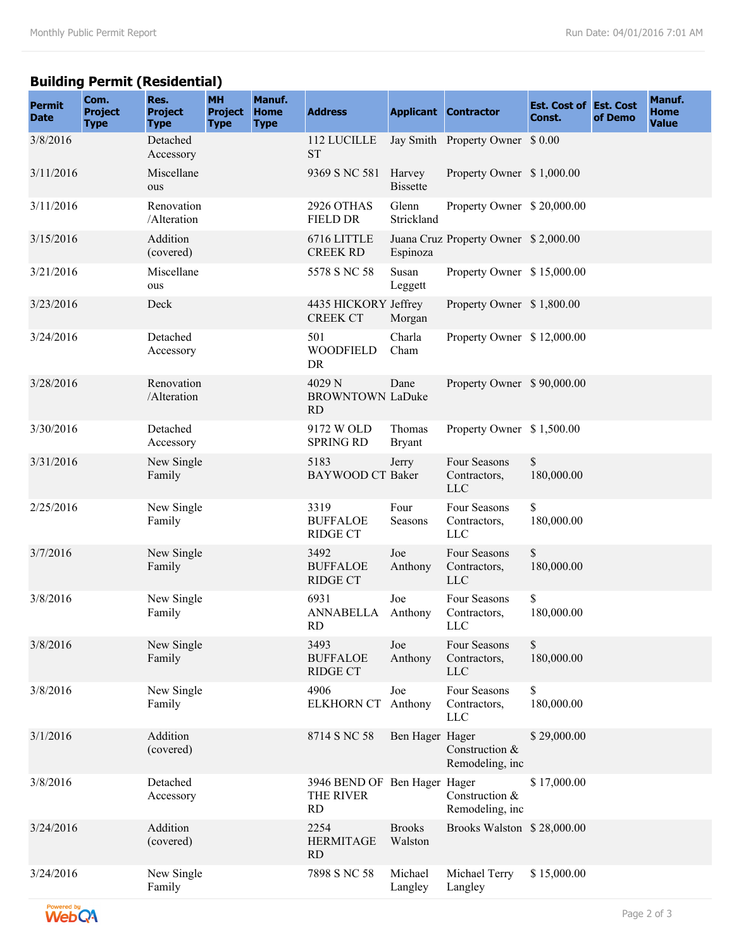## **Building Permit (Residential)**

| <b>Permit</b><br><b>Date</b> | Com.<br><b>Project</b><br><b>Type</b> | Res.<br><b>Project</b><br><b>Type</b> | <b>MH</b><br><b>Project</b><br><b>Type</b> | Manuf.<br><b>Home</b><br><b>Type</b> | <b>Address</b>                                         |                           | <b>Applicant Contractor</b>                | <b>Est. Cost of Est. Cost</b><br>Const. | of Demo | Manuf.<br><b>Home</b><br><b>Value</b> |
|------------------------------|---------------------------------------|---------------------------------------|--------------------------------------------|--------------------------------------|--------------------------------------------------------|---------------------------|--------------------------------------------|-----------------------------------------|---------|---------------------------------------|
| 3/8/2016                     |                                       | Detached<br>Accessory                 |                                            |                                      | 112 LUCILLE<br><b>ST</b>                               |                           | Jay Smith Property Owner \$ 0.00           |                                         |         |                                       |
| 3/11/2016                    |                                       | Miscellane<br>ous                     |                                            |                                      | 9369 S NC 581                                          | Harvey<br><b>Bissette</b> | Property Owner \$1,000.00                  |                                         |         |                                       |
| 3/11/2016                    |                                       | Renovation<br>/Alteration             |                                            |                                      | 2926 OTHAS<br><b>FIELD DR</b>                          | Glenn<br>Strickland       | Property Owner \$20,000.00                 |                                         |         |                                       |
| 3/15/2016                    |                                       | Addition<br>(covered)                 |                                            |                                      | 6716 LITTLE<br><b>CREEK RD</b>                         | Espinoza                  | Juana Cruz Property Owner \$2,000.00       |                                         |         |                                       |
| 3/21/2016                    |                                       | Miscellane<br>ous                     |                                            |                                      | 5578 S NC 58                                           | Susan<br>Leggett          | Property Owner \$15,000.00                 |                                         |         |                                       |
| 3/23/2016                    |                                       | Deck                                  |                                            |                                      | 4435 HICKORY Jeffrey<br><b>CREEK CT</b>                | Morgan                    | Property Owner \$1,800.00                  |                                         |         |                                       |
| 3/24/2016                    |                                       | Detached<br>Accessory                 |                                            |                                      | 501<br><b>WOODFIELD</b><br><b>DR</b>                   | Charla<br>Cham            | Property Owner \$12,000.00                 |                                         |         |                                       |
| 3/28/2016                    |                                       | Renovation<br>/Alteration             |                                            |                                      | 4029 N<br><b>BROWNTOWN LaDuke</b><br><b>RD</b>         | Dane                      | Property Owner \$90,000.00                 |                                         |         |                                       |
| 3/30/2016                    |                                       | Detached<br>Accessory                 |                                            |                                      | 9172 W OLD<br><b>SPRING RD</b>                         | Thomas<br><b>Bryant</b>   | Property Owner \$1,500.00                  |                                         |         |                                       |
| 3/31/2016                    |                                       | New Single<br>Family                  |                                            |                                      | 5183<br><b>BAYWOOD CT Baker</b>                        | Jerry                     | Four Seasons<br>Contractors,<br><b>LLC</b> | \$<br>180,000.00                        |         |                                       |
| 2/25/2016                    |                                       | New Single<br>Family                  |                                            |                                      | 3319<br><b>BUFFALOE</b><br><b>RIDGE CT</b>             | Four<br>Seasons           | Four Seasons<br>Contractors,<br><b>LLC</b> | \$<br>180,000.00                        |         |                                       |
| 3/7/2016                     |                                       | New Single<br>Family                  |                                            |                                      | 3492<br><b>BUFFALOE</b><br><b>RIDGE CT</b>             | Joe<br>Anthony            | Four Seasons<br>Contractors,<br><b>LLC</b> | \$<br>180,000.00                        |         |                                       |
| 3/8/2016                     |                                       | New Single<br>Family                  |                                            |                                      | 6931<br>ANNABELLA<br>RD.                               | Joe<br>Anthony            | Four Seasons<br>Contractors,<br>LLC        | \$<br>180,000.00                        |         |                                       |
| 3/8/2016                     |                                       | New Single<br>Family                  |                                            |                                      | 3493<br><b>BUFFALOE</b><br><b>RIDGE CT</b>             | Joe<br>Anthony            | Four Seasons<br>Contractors,<br><b>LLC</b> | $\mathbb S$<br>180,000.00               |         |                                       |
| 3/8/2016                     |                                       | New Single<br>Family                  |                                            |                                      | 4906<br><b>ELKHORN CT</b>                              | Joe<br>Anthony            | Four Seasons<br>Contractors,<br><b>LLC</b> | \$<br>180,000.00                        |         |                                       |
| 3/1/2016                     |                                       | Addition<br>(covered)                 |                                            |                                      | 8714 S NC 58                                           | Ben Hager Hager           | Construction &<br>Remodeling, inc          | \$29,000.00                             |         |                                       |
| 3/8/2016                     |                                       | Detached<br>Accessory                 |                                            |                                      | 3946 BEND OF Ben Hager Hager<br>THE RIVER<br><b>RD</b> |                           | Construction &<br>Remodeling, inc          | \$17,000.00                             |         |                                       |
| 3/24/2016                    |                                       | Addition<br>(covered)                 |                                            |                                      | 2254<br><b>HERMITAGE</b><br><b>RD</b>                  | <b>Brooks</b><br>Walston  | Brooks Walston \$28,000.00                 |                                         |         |                                       |
| 3/24/2016                    |                                       | New Single<br>Family                  |                                            |                                      | 7898 S NC 58                                           | Michael<br>Langley        | Michael Terry<br>Langley                   | \$15,000.00                             |         |                                       |